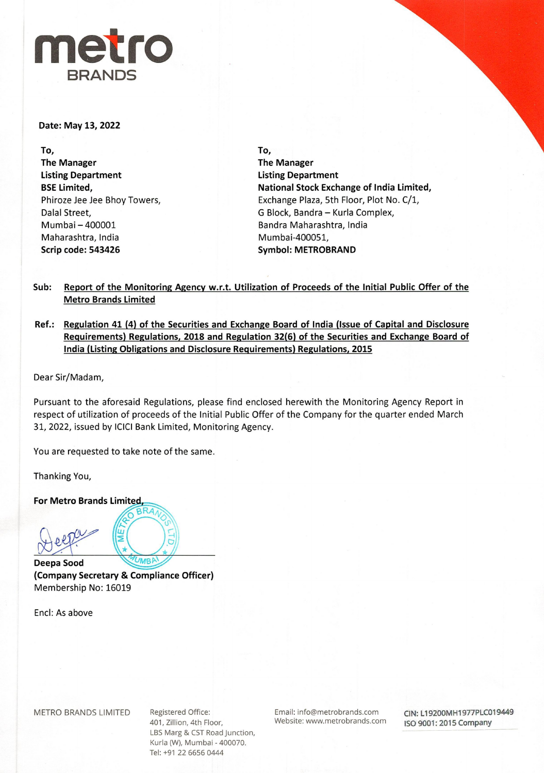# **metro BRANDS**

### **Date: May 13, 2022**

**To, The Manager Listing Department BSE Limited,**  Phiroze Jee Jee Bhoy Towers, Dalal Street, Mumbai- 400001 Maharashtra, India **Scrip code: 543426** 

**To, The Manager Listing Department National Stock Exchange of India Limited,**  Exchange Plaza, 5th Floor, Plot No. C/1, G Block, Bandra- Kurla Complex, Bandra Maharashtra, India Mumbai-400051, **Symbol: METROBRAND** 

**Sub: Report of the Monitoring Agency w.r.t. Utilization of Proceeds of the Initial Public Offer of the Metro Brands Limited** 

**Ref.: Regulation 41 (4) of the Securities and Exchange Board of India (Issue of Capital and Disclosure Requirements) Regulations, 2018 and Regulation 32(6) of the Securities and Exchange Board of India (Listing Obligations and Disclosure Requirements) Regulations, 2015** 

Dear Sir/Madam,

Pursuant to the aforesaid Regulations, please find enclosed herewith the Monitoring Agency Report in respect of utilization of proceeds of the Initial Public Offer of the Company for the quarter ended March 31, 2022, issued by ICICI Bank Limited, Monitoring Agency.

You are requested to take note of the same.

Thanking You,

**For Metro Brands Limited.** 

**Deepa Sood** er wetto Brands Limited<br>
Delpote History<br>
Deepa Sood

BRANCO AND AND 7 **'/M n** BAI **(Company Secretary & Compliance Officer)**  Membership No: 16019

Encl: As above

METRO BRANDS LIMITED Registered Office:

401, Zillion, 4th Floor, LBS Marg & CST Road Junction, Kurla (W), Mumbai - 400070. Tel: +91 22 6656 0444

Email: info@metrobrands.com Website: www.metrobrands.com **CIN: LT9200MH1977PLC019449 ISO 9001: 2015 Company**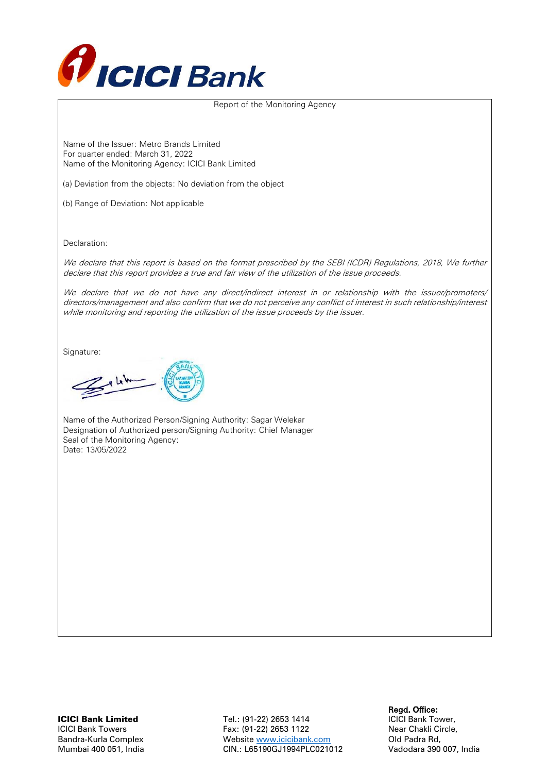

Report of the Monitoring Agency

Name of the Issuer: Metro Brands Limited For quarter ended: March 31, 2022 Name of the Monitoring Agency: ICICI Bank Limited

(a) Deviation from the objects: No deviation from the object

(b) Range of Deviation: Not applicable

Declaration:

We declare that this report is based on the format prescribed by the SEBI (ICDR) Regulations, 2018, We further declare that this report provides a true and fair view of the utilization of the issue proceeds.

We declare that we do not have any direct/indirect interest in or relationship with the issuer/promoters/ directors/management and also confirm that we do not perceive any conflict of interest in such relationship/interest while monitoring and reporting the utilization of the issue proceeds by the issuer.

Signature:

 $28h$ 

Name of the Authorized Person/Signing Authority: Sagar Welekar Designation of Authorized person/Signing Authority: Chief Manager Seal of the Monitoring Agency: Date: 13/05/2022

Regd. Office:<br>1991 - Tel.: (91-22) 2653 1414 - Regd. Office:<br>1991 - Tel.: (91-22) 2653 1414 - CICI Bank Tower, Tel.: (91-22) 2653 1414 ICICI Bank Towers Fax: (91-22) 2653 1122 Near Chakli Circle, Bandra-Kurla Complex Website [www.icicibank.com](http://www.icicibank.com/) Old Padra Rd, Mumbai 400 051, India CIN.: L65190GJ1994PLC021012 Vadodara 390 007, India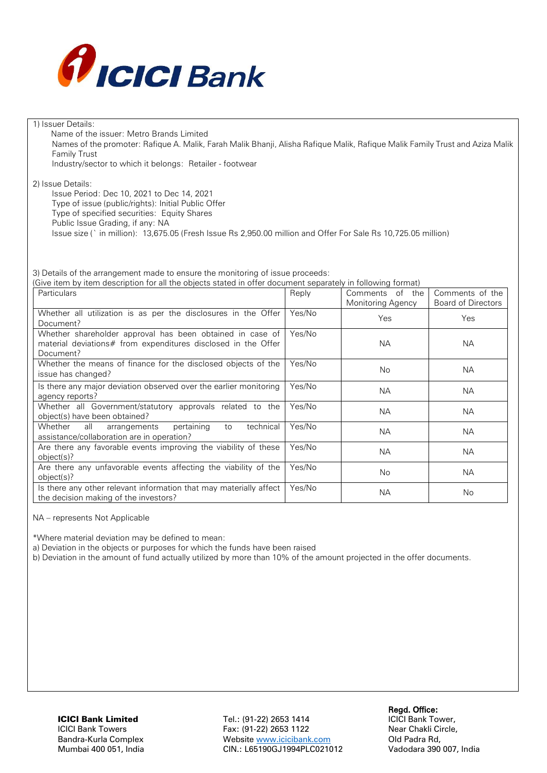

| 1) Issuer Details:                                                                                                            |        |                   |                           |
|-------------------------------------------------------------------------------------------------------------------------------|--------|-------------------|---------------------------|
| Name of the issuer: Metro Brands Limited                                                                                      |        |                   |                           |
| Names of the promoter: Rafique A. Malik, Farah Malik Bhanji, Alisha Rafique Malik, Rafique Malik Family Trust and Aziza Malik |        |                   |                           |
| <b>Family Trust</b>                                                                                                           |        |                   |                           |
| Industry/sector to which it belongs: Retailer - footwear                                                                      |        |                   |                           |
| 2) Issue Details:                                                                                                             |        |                   |                           |
| Issue Period: Dec 10, 2021 to Dec 14, 2021                                                                                    |        |                   |                           |
| Type of issue (public/rights): Initial Public Offer                                                                           |        |                   |                           |
| Type of specified securities: Equity Shares                                                                                   |        |                   |                           |
| Public Issue Grading, if any: NA                                                                                              |        |                   |                           |
| Issue size (`in million): 13,675.05 (Fresh Issue Rs 2,950.00 million and Offer For Sale Rs 10,725.05 million)                 |        |                   |                           |
|                                                                                                                               |        |                   |                           |
|                                                                                                                               |        |                   |                           |
| 3) Details of the arrangement made to ensure the monitoring of issue proceeds:                                                |        |                   |                           |
| (Give item by item description for all the objects stated in offer document separately in following format)                   |        |                   |                           |
| <b>Particulars</b>                                                                                                            | Reply  | Comments of the   | Comments of the           |
|                                                                                                                               |        | Monitoring Agency | <b>Board of Directors</b> |
| Whether all utilization is as per the disclosures in the Offer                                                                | Yes/No |                   |                           |
| Document?                                                                                                                     |        | Yes               | Yes                       |
| Whether shareholder approval has been obtained in case of                                                                     | Yes/No |                   |                           |
| material deviations# from expenditures disclosed in the Offer                                                                 |        | <b>NA</b>         | <b>NA</b>                 |
| Document?                                                                                                                     |        |                   |                           |
| Whether the means of finance for the disclosed objects of the                                                                 | Yes/No | <b>No</b>         | <b>NA</b>                 |
| issue has changed?                                                                                                            |        |                   |                           |
| Is there any major deviation observed over the earlier monitoring                                                             | Yes/No | <b>NA</b>         | <b>NA</b>                 |
| agency reports?                                                                                                               |        |                   |                           |
| Whether all Government/statutory approvals related to the                                                                     | Yes/No | <b>NA</b>         | <b>NA</b>                 |
| object(s) have been obtained?                                                                                                 |        |                   |                           |
| Whether<br>technical<br>all<br>arrangements<br>pertaining<br>to                                                               | Yes/No | <b>NA</b>         | <b>NA</b>                 |
| assistance/collaboration are in operation?                                                                                    |        |                   |                           |
| Are there any favorable events improving the viability of these                                                               | Yes/No | <b>NA</b>         | <b>NA</b>                 |
| object(s)?<br>Are there any unfavorable events affecting the viability of the                                                 | Yes/No |                   |                           |
| object(s)?                                                                                                                    |        | No                | <b>NA</b>                 |
| Is there any other relevant information that may materially affect                                                            | Yes/No |                   |                           |
| the decision making of the investors?                                                                                         |        | <b>NA</b>         | No                        |

NA – represents Not Applicable

\*Where material deviation may be defined to mean:

a) Deviation in the objects or purposes for which the funds have been raised

b) Deviation in the amount of fund actually utilized by more than 10% of the amount projected in the offer documents.

Regd. Office:<br>1991 - Tel.: (91-22) 2653 1414 - Regd. Office:<br>1991 - Tel.: (91-22) 2653 1414 - CICI Bank Tower, Tel.: (91-22) 2653 1414 ICICI Bank Towers Fax: (91-22) 2653 1122 Near Chakli Circle, Bandra-Kurla Complex Website [www.icicibank.com](http://www.icicibank.com/) Old Padra Rd, Mumbai 400 051, India CIN.: L65190GJ1994PLC021012 Vadodara 390 007, India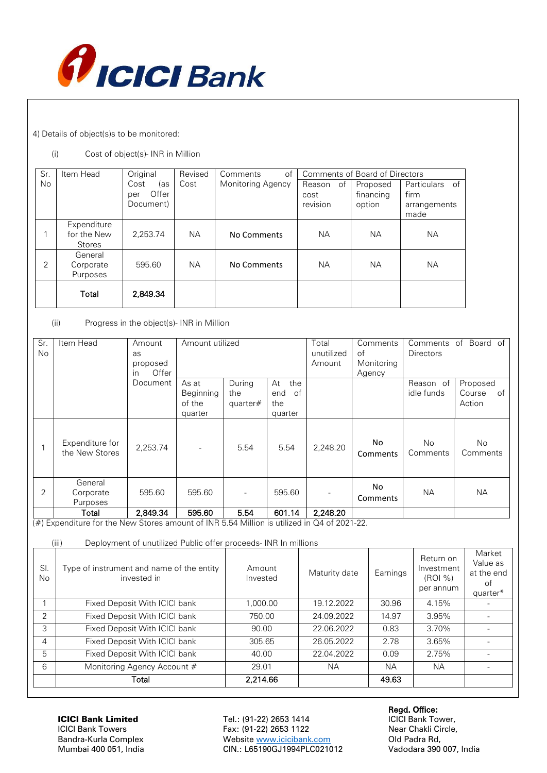

4) Details of object(s)s to be monitored:

## (i) Cost of object(s)- INR in Million

| Sr.            | Item Head                                   | Original                                 | Revised   | of<br>Comments    | Comments of Board of Directors   |                                 |                                                |
|----------------|---------------------------------------------|------------------------------------------|-----------|-------------------|----------------------------------|---------------------------------|------------------------------------------------|
| No.            |                                             | Cost<br>(as<br>Offer<br>per<br>Document) | Cost      | Monitoring Agency | of<br>Reason<br>cost<br>revision | Proposed<br>financing<br>option | Particulars of<br>firm<br>arrangements<br>made |
|                | Expenditure<br>for the New<br><b>Stores</b> | 2,253.74                                 | <b>NA</b> | No Comments       | NA.                              | NА                              | NА                                             |
| $\overline{2}$ | General<br>Corporate<br>Purposes            | 595.60                                   | <b>NA</b> | No Comments       | <b>NA</b>                        | NA.                             | NА                                             |
|                | Total                                       | 2,849.34                                 |           |                   |                                  |                                 |                                                |

### (ii) Progress in the object(s)- INR in Million

| Sr.       | Item Head                         | Amount      | Amount utilized |             | Total      | Comments | Comments<br>Board of<br>of |                       |                 |
|-----------|-----------------------------------|-------------|-----------------|-------------|------------|----------|----------------------------|-----------------------|-----------------|
| <b>No</b> |                                   | as          |                 |             | unutilized | of       | <b>Directors</b>           |                       |                 |
|           |                                   | proposed    |                 |             |            | Amount   | Monitoring                 |                       |                 |
|           |                                   | Offer<br>in |                 |             |            |          | Agency                     |                       |                 |
|           |                                   | Document    | As at           | During      | At<br>the  |          |                            | Reason of             | Proposed        |
|           |                                   |             | Beginning       | the         | of<br>end  |          |                            | idle funds            | Course<br>of    |
|           |                                   |             | of the          | quarter $#$ | the        |          |                            |                       | Action          |
|           |                                   |             | quarter         |             | quarter    |          |                            |                       |                 |
|           | Expenditure for<br>the New Stores | 2.253.74    |                 | 5.54        | 5.54       | 2.248.20 | No<br>Comments             | <b>No</b><br>Comments | No.<br>Comments |
| 2         | General<br>Corporate<br>Purposes  | 595.60      | 595.60          |             | 595.60     |          | No<br>Comments             | <b>NA</b>             | <b>NA</b>       |
|           | Total                             | 2,849.34    | 595.60          | 5.54        | 601.14     | 2,248.20 |                            |                       |                 |

 $(\#)$  Expenditure for the New Stores amount of INR 5.54 Million is utilized in Q4 of 2021-22.

| (iii) | Deployment of unutilized Public offer proceeds- INR In millions |  |
|-------|-----------------------------------------------------------------|--|

| SI.<br>No. | $\frac{1}{2}$<br>Type of instrument and name of the entity<br>invested in | Amount<br>Invested | Maturity date | Earnings | Return on<br>Investment<br>(ROI %)<br>per annum | Market<br>Value as<br>at the end<br>0t<br>quarter* |
|------------|---------------------------------------------------------------------------|--------------------|---------------|----------|-------------------------------------------------|----------------------------------------------------|
|            | Fixed Deposit With ICICI bank                                             | 1.000.00           | 19.12.2022    | 30.96    | 4.15%                                           |                                                    |
| 2          | Fixed Deposit With ICICI bank                                             | 750.00             | 24.09.2022    | 14.97    | $3.95\%$                                        |                                                    |
| 3          | Fixed Deposit With ICICI bank                                             | 90.00              | 22.06.2022    | 0.83     | 3.70%                                           |                                                    |
| 4          | Fixed Deposit With ICICI bank                                             | 305.65             | 26.05.2022    | 2.78     | 3.65%                                           |                                                    |
| 5          | Fixed Deposit With ICICI bank                                             | 40.00              | 22.04.2022    | 0.09     | 2.75%                                           |                                                    |
| 6          | Monitoring Agency Account #                                               | 29.01              | <b>NA</b>     | NA.      | <b>NA</b>                                       |                                                    |
|            | Total                                                                     | 2,214.66           |               | 49.63    |                                                 |                                                    |

Regd. Office:<br>1991 - Tel.: (91-22) 2653 1414 - Regd. Office:<br>1991 - Tel.: (91-22) 2653 1414 - CICI Bank Tower, Tel.: (91-22) 2653 1414 ICICI Bank Towers Fax: (91-22) 2653 1122 Near Chakli Circle, Website [www.icicibank.com](http://www.icicibank.com/) Mumbai 400 051, India CIN.: L65190GJ1994PLC021012 Vadodara 390 007, India